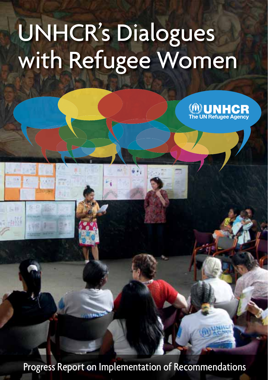# UNHCR's Dialogues with Refugee Women



Progress Report on Implementation of Recommendations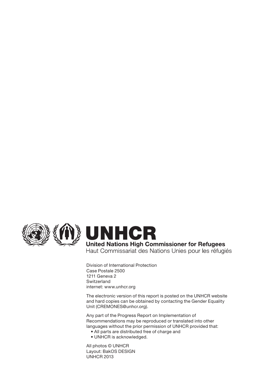

Haut Commissariat des Nations Unies pour les réfugiés

Division of International Protection Case Postale 2500 1211 Geneva 2 Switzerland internet: www.unhcr.org

The electronic version of this report is posted on the UNHCR website and hard copies can be obtained by contacting the Gender Equality Unit (CREMONES@unhcr.org).

Any part of the Progress Report on Implementation of Recommendations may be reproduced or translated into other languages without the prior permission of UNHCR provided that:

- All parts are distributed free of charge and
- UNHCR is acknowledged.

All photos © UNHCR Layout: BakOS DESIGN UNHCR 2013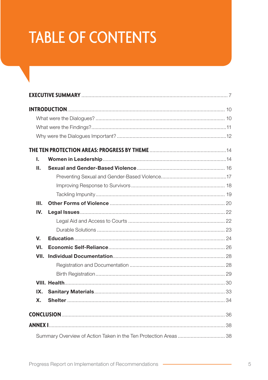## **TABLE OF CONTENTS**

| L.   |  |  |
|------|--|--|
| Ш.   |  |  |
|      |  |  |
|      |  |  |
|      |  |  |
| Ш.   |  |  |
| IV.  |  |  |
|      |  |  |
|      |  |  |
| V.   |  |  |
| VI.  |  |  |
| VII. |  |  |
|      |  |  |
|      |  |  |
|      |  |  |
| IX.  |  |  |
| Χ.   |  |  |
|      |  |  |
|      |  |  |
|      |  |  |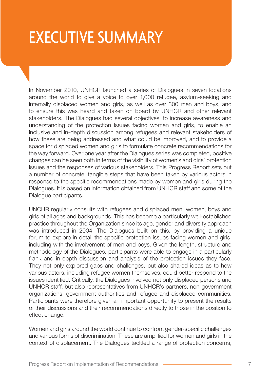## EXECUTIVE SUMMARY

In November 2010, UNHCR launched a series of Dialogues in seven locations around the world to give a voice to over 1,000 refugee, asylum-seeking and internally displaced women and girls, as well as over 300 men and boys, and to ensure this was heard and taken on board by UNHCR and other relevant stakeholders. The Dialogues had several objectives: to increase awareness and understanding of the protection issues facing women and girls, to enable an inclusive and in-depth discussion among refugees and relevant stakeholders of how these are being addressed and what could be improved, and to provide a space for displaced women and girls to formulate concrete recommendations for the way forward. Over one year after the Dialogues series was completed, positive changes can be seen both in terms of the visibility of women's and girls' protection issues and the responses of various stakeholders. This Progress Report sets out a number of concrete, tangible steps that have been taken by various actors in response to the specific recommendations made by women and girls during the Dialogues. It is based on information obtained from UNHCR staff and some of the Dialogue participants.

UNCHR regularly consults with refugees and displaced men, women, boys and girls of all ages and backgrounds. This has become a particularly well-established practice throughout the Organization since its age, gender and diversity approach was introduced in 2004. The Dialogues built on this, by providing a unique forum to explore in detail the specific protection issues facing women and girls, including with the involvement of men and boys. Given the length, structure and methodology of the Dialogues, participants were able to engage in a particularly frank and in-depth discussion and analysis of the protection issues they face. They not only explored gaps and challenges, but also shared ideas as to how various actors, including refugee women themselves, could better respond to the issues identified. Critically, the Dialogues involved not only displaced persons and UNHCR staff, but also representatives from UNHCR's partners, non-government organizations, government authorities and refugee and displaced communities. Participants were therefore given an important opportunity to present the results of their discussions and their recommendations directly to those in the position to effect change.

Women and girls around the world continue to confront gender-specific challenges and various forms of discrimination. These are amplified for women and girls in the context of displacement. The Dialogues tackled a range of protection concerns,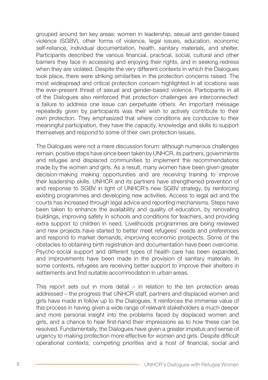grouped around ten key areas: women in leadership, sexual and gender-based violence (SGBV), other forms of violence, legal issues, education, economic self-reliance, individual documentation, health, sanitary materials, and shelter. Participants described the various financial, practical, social, cultural and other barriers they face in accessing and enjoying their rights, and in seeking redress when they are violated. Despite the very different contexts in which the Dialogues took place, there were striking similarities in the protection concerns raised. The most widespread and critical protection concern highlighted in all locations was the ever-present threat of sexual and gender-based violence. Participants in all of the Dialogues also reinforced that protection challenges are interconnected: a failure to address one issue can perpetuate others. An important message repeatedly given by participants was their wish to actively contribute to their own protection. They emphasized that where conditions are conducive to their meaningful participation, they have the capacity, knowledge and skills to support themselves and respond to some of their own protection issues.

The Dialogues were not a mere discussion forum: although numerous challenges remain, positive steps have since been taken by UNHCR, its partners, governments and refugee and displaced communities to implement the recommendations made by the women and girls. As a result, many women have been given greater decision-making making opportunities and are receiving training to improve their leadership skills. UNHCR and its partners have strengthened prevention of and response to SGBV in light of UNHCR's new SGBV strategy, by reinforcing existing programmes and developing new activities. Access to legal aid and the courts has increased through legal advice and reporting mechanisms. Steps have been taken to enhance the availability and quality of education, by renovating buildings, improving safety in schools and conditions for teachers, and providing extra support to children in need. Livelihoods programmes are being reviewed and new projects have started to better meet refugees' needs and preferences and respond to market demands, improving economic prospects. Some of the obstacles to obtaining birth registration and documentation have been overcome. Psycho-social support and different types of health care has been expanded, and improvements have been made in the provision of sanitary materials. In some contexts, refugees are receiving better support to improve their shelters in settlements and find suitable accommodation in urban areas.

This report sets out in more detail – in relation to the ten protection areas addressed – the progress that UNHCR staff, partners and displaced women and girls have made in follow up to the Dialogues. It reinforces the immense value of this process in having given a wide range of relevant stakeholders a much deeper and more personal insight into the problems faced by displaced women and girls, and a chance to hear first-hand their impressions as to how these can be resolved. Fundamentally, the Dialogues have given a greater impetus and sense of urgency to making protection more effective for women and girls. Despite difficult operational contexts, competing priorities and a host of financial, social and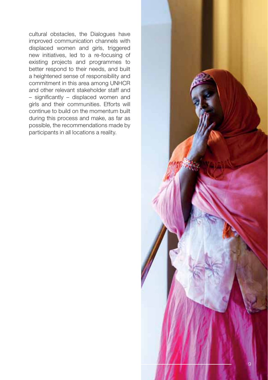cultural obstacles, the Dialogues have improved communication channels with displaced women and girls, triggered new initiatives, led to a re-focusing of existing projects and programmes to better respond to their needs, and built a heightened sense of responsibility and commitment in this area among UNHCR and other relevant stakeholder staff and – significantly – displaced women and girls and their communities. Efforts will continue to build on the momentum built during this process and make, as far as possible, the recommendations made by participants in all locations a reality.

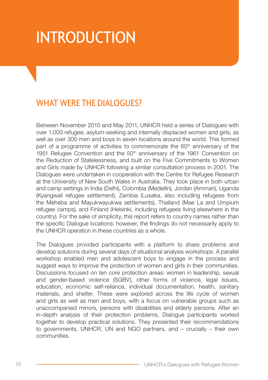## INTRODUCTION

## WHAT WERE THE DIALOGUES?

Between November 2010 and May 2011, UNHCR held a series of Dialogues with over 1,000 refugee, asylum-seeking and internally displaced women and girls, as well as over 300 men and boys in seven locations around the world. This formed part of a programme of activities to commemorate the  $60<sup>th</sup>$  anniversary of the 1951 Refugee Convention and the 50<sup>th</sup> anniversary of the 1961 Convention on the Reduction of Statelessness, and built on the Five Commitments to Women and Girls made by UNHCR following a similar consultation process in 2001. The Dialogues were undertaken in cooperation with the Centre for Refugee Research at the University of New South Wales in Australia. They took place in both urban and camp settings in India (Delhi), Colombia (Medellín), Jordan (Amman), Uganda (Kyangwali refugee settlement), Zambia (Lusaka, also including refugees from the Meheba and Mayukwayukwa settlements), Thailand (Mae La and Umpium refugee camps), and Finland (Helsinki, including refugees living elsewhere in the country). For the sake of simplicity, this report refers to country names rather than the specific Dialogue locations: however, the findings do not necessarily apply to the UNHCR operation in these countries as a whole.

The Dialogues provided participants with a platform to share problems and develop solutions during several days of situational analysis workshops. A parallel workshop enabled men and adolescent boys to engage in the process and suggest ways to improve the protection of women and girls in their communities. Discussions focused on ten core protection areas: women in leadership, sexual and gender-based violence (SGBV), other forms of violence, legal issues, education, economic self-reliance, individual documentation, health, sanitary materials, and shelter. These were explored across the life cycle of women and girls as well as men and boys, with a focus on vulnerable groups such as unaccompanied minors, persons with disabilities and elderly persons. After an in-depth analysis of their protection problems, Dialogue participants worked together to develop practical solutions. They presented their recommendations to governments, UNHCR, UN and NGO partners, and – crucially – their own communities.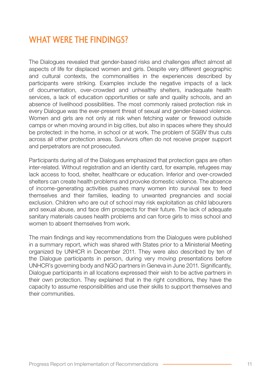## WHAT WERE THE FINDINGS?

The Dialogues revealed that gender-based risks and challenges affect almost all aspects of life for displaced women and girls. Despite very different geographic and cultural contexts, the commonalities in the experiences described by participants were striking. Examples include the negative impacts of a lack of documentation, over-crowded and unhealthy shelters, inadequate health services, a lack of education opportunities or safe and quality schools, and an absence of livelihood possibilities. The most commonly raised protection risk in every Dialogue was the ever-present threat of sexual and gender-based violence. Women and girls are not only at risk when fetching water or firewood outside camps or when moving around in big cities, but also in spaces where they should be protected: in the home, in school or at work. The problem of SGBV thus cuts across all other protection areas. Survivors often do not receive proper support and perpetrators are not prosecuted.

Participants during all of the Dialogues emphasized that protection gaps are often inter-related. Without registration and an identity card, for example, refugees may lack access to food, shelter, healthcare or education. Inferior and over-crowded shelters can create health problems and provoke domestic violence. The absence of income-generating activities pushes many women into survival sex to feed themselves and their families, leading to unwanted pregnancies and social exclusion. Children who are out of school may risk exploitation as child labourers and sexual abuse, and face dim prospects for their future. The lack of adequate sanitary materials causes health problems and can force girls to miss school and women to absent themselves from work.

The main findings and key recommendations from the Dialogues were published in a summary report, which was shared with States prior to a Ministerial Meeting organized by UNHCR in December 2011. They were also described by ten of the Dialogue participants in person, during very moving presentations before UNHCR's governing body and NGO partners in Geneva in June 2011. Significantly, Dialogue participants in all locations expressed their wish to be active partners in their own protection. They explained that in the right conditions, they have the capacity to assume responsibilities and use their skills to support themselves and their communities.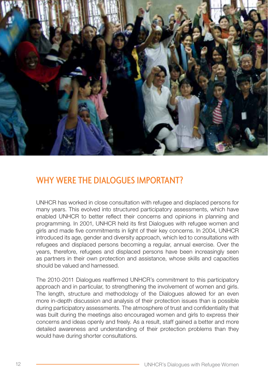

### WHY WERE THE DIALOGUES IMPORTANT?

UNHCR has worked in close consultation with refugee and displaced persons for many years. This evolved into structured participatory assessments, which have enabled UNHCR to better reflect their concerns and opinions in planning and programming. In 2001, UNHCR held its first Dialogues with refugee women and girls and made five commitments in light of their key concerns. In 2004, UNHCR introduced its age, gender and diversity approach, which led to consultations with refugees and displaced persons becoming a regular, annual exercise. Over the years, therefore, refugees and displaced persons have been increasingly seen as partners in their own protection and assistance, whose skills and capacities should be valued and harnessed.

The 2010-2011 Dialogues reaffirmed UNHCR's commitment to this participatory approach and in particular, to strengthening the involvement of women and girls. The length, structure and methodology of the Dialogues allowed for an even more in-depth discussion and analysis of their protection issues than is possible during participatory assessments. The atmosphere of trust and confidentiality that was built during the meetings also encouraged women and girls to express their concerns and ideas openly and freely. As a result, staff gained a better and more detailed awareness and understanding of their protection problems than they would have during shorter consultations.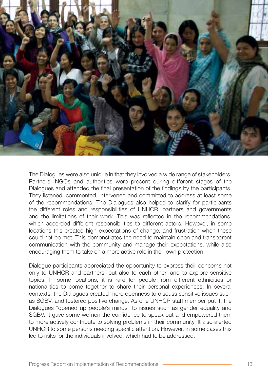

The Dialogues were also unique in that they involved a wide range of stakeholders. Partners, NGOs and authorities were present during different stages of the Dialogues and attended the final presentation of the findings by the participants. They listened, commented, intervened and committed to address at least some of the recommendations. The Dialogues also helped to clarify for participants the different roles and responsibilities of UNHCR, partners and governments and the limitations of their work. This was reflected in the recommendations, which accorded different responsibilities to different actors. However, in some locations this created high expectations of change, and frustration when these could not be met. This demonstrates the need to maintain open and transparent communication with the community and manage their expectations, while also encouraging them to take on a more active role in their own protection.

Dialogue participants appreciated the opportunity to express their concerns not only to UNHCR and partners, but also to each other, and to explore sensitive topics. In some locations, it is rare for people from different ethnicities or nationalities to come together to share their personal experiences. In several contexts, the Dialogues created more openness to discuss sensitive issues such as SGBV, and fostered positive change. As one UNHCR staff member put it, the Dialogues "opened up people's minds" to issues such as gender equality and SGBV. It gave some women the confidence to speak out and empowered them to more actively contribute to solving problems in their community. It also alerted UNHCR to some persons needing specific attention. However, in some cases this led to risks for the individuals involved, which had to be addressed.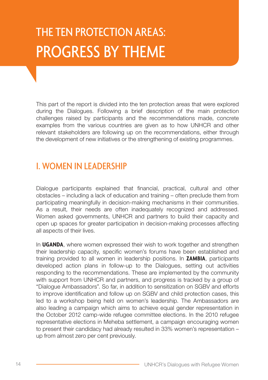## THE TEN PROTECTION AREAS: PROGRESS BY THEME

This part of the report is divided into the ten protection areas that were explored during the Dialogues. Following a brief description of the main protection challenges raised by participants and the recommendations made, concrete examples from the various countries are given as to how UNHCR and other relevant stakeholders are following up on the recommendations, either through the development of new initiatives or the strengthening of existing programmes.

## I. WOMEN IN LEADERSHIP

Dialogue participants explained that financial, practical, cultural and other obstacles – including a lack of education and training – often preclude them from participating meaningfully in decision-making mechanisms in their communities. As a result, their needs are often inadequately recognized and addressed. Women asked governments, UNHCR and partners to build their capacity and open up spaces for greater participation in decision-making processes affecting all aspects of their lives.

In **UGANDA**, where women expressed their wish to work together and strengthen their leadership capacity, specific women's forums have been established and training provided to all women in leadership positions. In **ZAMBIA**, participants developed action plans in follow-up to the Dialogues, setting out activities responding to the recommendations. These are implemented by the community with support from UNHCR and partners, and progress is tracked by a group of "Dialogue Ambassadors". So far, in addition to sensitization on SGBV and efforts to improve identification and follow up on SGBV and child protection cases, this led to a workshop being held on women's leadership. The Ambassadors are also leading a campaign which aims to achieve equal gender representation in the October 2012 camp-wide refugee committee elections. In the 2010 refugee representative elections in Meheba settlement, a campaign encouraging women to present their candidacy had already resulted in 33% women's representation – up from almost zero per cent previously.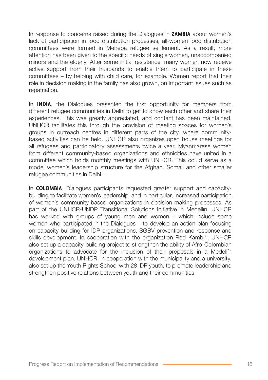In response to concerns raised during the Dialogues in **ZAMBIA** about women's lack of participation in food distribution processes, all-women food distribution committees were formed in Meheba refugee settlement. As a result, more attention has been given to the specific needs of single women, unaccompanied minors and the elderly. After some initial resistance, many women now receive active support from their husbands to enable them to participate in these committees – by helping with child care, for example. Women report that their role in decision making in the family has also grown, on important issues such as repatriation.

In **INDIA**, the Dialogues presented the first opportunity for members from different refugee communities in Delhi to get to know each other and share their experiences. This was greatly appreciated, and contact has been maintained. UNHCR facilitates this through the provision of meeting spaces for women's groups in outreach centres in different parts of the city, where communitybased activities can be held. UNHCR also organizes open house meetings for all refugees and participatory assessments twice a year. Myanmarese women from different community-based organizations and ethnicities have united in a committee which holds monthly meetings with UNHCR. This could serve as a model women's leadership structure for the Afghan, Somali and other smaller refugee communities in Delhi.

In **COLOMBIA**, Dialogues participants requested greater support and capacitybuilding to facilitate women's leadership, and in particular, increased participation of women's community-based organizations in decision-making processes. As part of the UNHCR-UNDP Transitional Solutions Initiative in Medellín, UNHCR has worked with groups of young men and women – which include some women who participated in the Dialogues – to develop an action plan focusing on capacity building for IDP organizations, SGBV prevention and response and skills development. In cooperation with the organization Red Kambiri, UNHCR also set up a capacity-building project to strengthen the ability of Afro-Colombian organizations to advocate for the inclusion of their proposals in a Medellín development plan. UNHCR, in cooperation with the municipality and a university, also set up the Youth Rights School with 28 IDP youth, to promote leadership and strengthen positive relations between youth and their communities.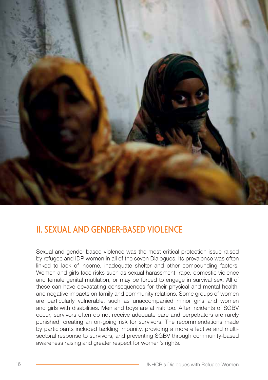

### II. SEXUAL AND GENDER-BASED VIOLENCE

Sexual and gender-based violence was the most critical protection issue raised by refugee and IDP women in all of the seven Dialogues. Its prevalence was often linked to lack of income, inadequate shelter and other compounding factors. Women and girls face risks such as sexual harassment, rape, domestic violence and female genital mutilation, or may be forced to engage in survival sex. All of these can have devastating consequences for their physical and mental health, and negative impacts on family and community relations. Some groups of women are particularly vulnerable, such as unaccompanied minor girls and women and girls with disabilities. Men and boys are at risk too. After incidents of SGBV occur, survivors often do not receive adequate care and perpetrators are rarely punished, creating an on-going risk for survivors. The recommendations made by participants included tackling impunity, providing a more effective and multisectoral response to survivors, and preventing SGBV through community-based awareness raising and greater respect for women's rights.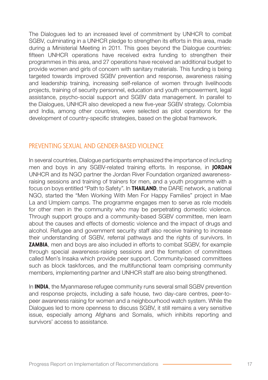The Dialogues led to an increased level of commitment by UNHCR to combat SGBV, culminating in a UNHCR pledge to strengthen its efforts in this area, made during a Ministerial Meeting in 2011. This goes beyond the Dialogue countries: fifteen UNHCR operations have received extra funding to strengthen their programmes in this area, and 27 operations have received an additional budget to provide women and girls of concern with sanitary materials. This funding is being targeted towards improved SGBV prevention and response, awareness raising and leadership training, increasing self-reliance of women through livelihoods projects, training of security personnel, education and youth empowerment, legal assistance, psycho-social support and SGBV data management. In parallel to the Dialogues, UNHCR also developed a new five-year SGBV strategy. Colombia and India, among other countries, were selected as pilot operations for the development of country-specific strategies, based on the global framework.

#### PREVENTING SEXUAL AND GENDER-BASED VIOLENCE

In several countries, Dialogue participants emphasized the importance of including men and boys in any SGBV-related training efforts. In response, in **JORDAN** UNHCR and its NGO partner the Jordan River Foundation organized awarenessraising sessions and training of trainers for men, and a youth programme with a focus on boys entitled "Path to Safety". In **THAILAND**, the DARE network, a national NGO, started the "Men Working With Men For Happy Families" project in Mae La and Umpiem camps. The programme engages men to serve as role models for other men in the community who may be perpetrating domestic violence. Through support groups and a community-based SGBV committee, men learn about the causes and effects of domestic violence and the impact of drugs and alcohol. Refugee and government security staff also receive training to increase their understanding of SGBV, referral pathways and the rights of survivors. In **ZAMBIA**, men and boys are also included in efforts to combat SGBV, for example through special awareness-raising sessions and the formation of committees called Men's Insaka which provide peer support. Community-based committees such as block taskforces, and the multifunctional team comprising community members, implementing partner and UNHCR staff are also being strengthened.

In **INDIA**, the Myanmarese refugee community runs several small SGBV prevention and response projects, including a safe house, two day-care centres, peer-topeer awareness raising for women and a neighbourhood watch system. While the Dialogues led to more openness to discuss SGBV, it still remains a very sensitive issue, especially among Afghans and Somalis, which inhibits reporting and survivors' access to assistance.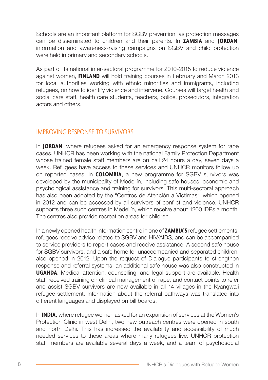Schools are an important platform for SGBV prevention, as protection messages can be disseminated to children and their parents. In **ZAMBIA** and **JORDAN**, information and awareness-raising campaigns on SGBV and child protection were held in primary and secondary schools.

As part of its national inter-sectoral programme for 2010-2015 to reduce violence against women, **FINLAND** will hold training courses in February and March 2013 for local authorities working with ethnic minorities and immigrants, including refugees, on how to identify violence and intervene. Courses will target health and social care staff, health care students, teachers, police, prosecutors, integration actors and others.

#### IMPROVING RESPONSE TO SURVIVORS

In **JORDAN**, where refugees asked for an emergency response system for rape cases, UNHCR has been working with the national Family Protection Department whose trained female staff members are on call 24 hours a day, seven days a week. Refugees have access to these services and UNHCR monitors follow up on reported cases. In **COLOMBIA**, a new programme for SGBV survivors was developed by the municipality of Medellín, including safe houses, economic and psychological assistance and training for survivors. This multi-sectoral approach has also been adopted by the "Centros de Atención a Victimas", which opened in 2012 and can be accessed by all survivors of conflict and violence. UNHCR supports three such centres in Medellín, which receive about 1200 IDPs a month. The centres also provide recreation areas for children.

In a newly opened health information centre in one of **ZAMBIA'S** refugee settlements, refugees receive advice related to SGBV and HIV/AIDS, and can be accompanied to service providers to report cases and receive assistance. A second safe house for SGBV survivors, and a safe home for unaccompanied and separated children, also opened in 2012. Upon the request of Dialogue participants to strengthen response and referral systems, an additional safe house was also constructed in **UGANDA**. Medical attention, counselling, and legal support are available. Health staff received training on clinical management of rape, and contact points to refer and assist SGBV survivors are now available in all 14 villages in the Kyangwali refugee settlement. Information about the referral pathways was translated into different languages and displayed on bill boards.

In **INDIA**, where refugee women asked for an expansion of services at the Women's Protection Clinic in west Delhi, two new outreach centres were opened in south and north Delhi. This has increased the availability and accessibility of much needed services to these areas where many refugees live. UNHCR protection staff members are available several days a week, and a team of psychosocial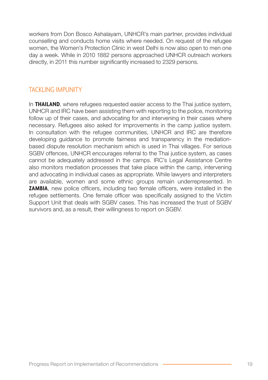workers from Don Bosco Ashalayam, UNHCR's main partner, provides individual counselling and conducts home visits where needed. On request of the refugee women, the Women's Protection Clinic in west Delhi is now also open to men one day a week. While in 2010 1882 persons approached UNHCR outreach workers directly, in 2011 this number significantly increased to 2329 persons.

#### TACKLING IMPLINITY

In **THAILAND**, where refugees requested easier access to the Thai justice system, UNHCR and IRC have been assisting them with reporting to the police, monitoring follow up of their cases, and advocating for and intervening in their cases where necessary. Refugees also asked for improvements in the camp justice system. In consultation with the refugee communities, UNHCR and IRC are therefore developing guidance to promote fairness and transparency in the mediationbased dispute resolution mechanism which is used in Thai villages. For serious SGBV offences, UNHCR encourages referral to the Thai justice system, as cases cannot be adequately addressed in the camps. IRC's Legal Assistance Centre also monitors mediation processes that take place within the camp, intervening and advocating in individual cases as appropriate. While lawyers and interpreters are available, women and some ethnic groups remain underrepresented. In **ZAMBIA**, new police officers, including two female officers, were installed in the refugee settlements. One female officer was specifically assigned to the Victim Support Unit that deals with SGBV cases. This has increased the trust of SGBV survivors and, as a result, their willingness to report on SGBV.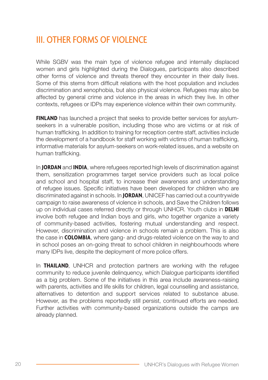## III. OTHER FORMS OF VIOLENCE

While SGBV was the main type of violence refugee and internally displaced women and girls highlighted during the Dialogues, participants also described other forms of violence and threats thereof they encounter in their daily lives. Some of this stems from difficult relations with the host population and includes discrimination and xenophobia, but also physical violence. Refugees may also be affected by general crime and violence in the areas in which they live. In other contexts, refugees or IDPs may experience violence within their own community.

**FINLAND** has launched a project that seeks to provide better services for asylumseekers in a vulnerable position, including those who are victims or at risk of human trafficking. In addition to training for reception centre staff, activities include the development of a handbook for staff working with victims of human trafficking, informative materials for asylum-seekers on work-related issues, and a website on human trafficking.

In **JORDAN** and **INDIA**, where refugees reported high levels of discrimination against them, sensitization programmes target service providers such as local police and school and hospital staff, to increase their awareness and understanding of refugee issues. Specific initiatives have been developed for children who are discriminated against in schools. In **JORDAN**, UNICEF has carried out a countrywide campaign to raise awareness of violence in schools, and Save the Children follows up on individual cases referred directly or through UNHCR. Youth clubs in **DELHI** involve both refugee and Indian boys and girls, who together organize a variety of community-based activities, fostering mutual understanding and respect. However, discrimination and violence in schools remain a problem. This is also the case in **COLOMBIA**, where gang- and drugs-related violence on the way to and in school poses an on-going threat to school children in neighbourhoods where many IDPs live, despite the deployment of more police offers.

In **THAILAND**, UNHCR and protection partners are working with the refugee community to reduce juvenile delinquency, which Dialogue participants identified as a big problem. Some of the initiatives in this area include awareness-raising with parents, activities and life skills for children, legal counselling and assistance, alternatives to detention and support services related to substance abuse. However, as the problems reportedly still persist, continued efforts are needed. Further activities with community-based organizations outside the camps are already planned.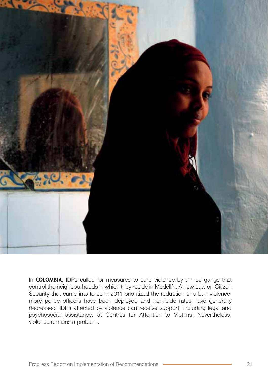

In **COLOMBIA**, IDPs called for measures to curb violence by armed gangs that control the neighbourhoods in which they reside in Medellín. A new Law on Citizen Security that came into force in 2011 prioritized the reduction of urban violence: more police officers have been deployed and homicide rates have generally decreased. IDPs affected by violence can receive support, including legal and psychosocial assistance, at Centres for Attention to Victims. Nevertheless, violence remains a problem.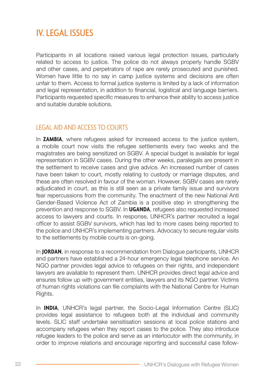## IV. LEGAL ISSUES

Participants in all locations raised various legal protection issues, particularly related to access to justice. The police do not always properly handle SGBV and other cases, and perpetrators of rape are rarely prosecuted and punished. Women have little to no say in camp justice systems and decisions are often unfair to them. Access to formal justice systems is limited by a lack of information and legal representation, in addition to financial, logistical and language barriers. Participants requested specific measures to enhance their ability to access justice and suitable durable solutions.

#### LEGAL AID AND ACCESS TO COURTS

In **ZAMBIA**. where refugees asked for increased access to the justice system, a mobile court now visits the refugee settlements every two weeks and the magistrates are being sensitized on SGBV. A special budget is available for legal representation in SGBV cases. During the other weeks, paralegals are present in the settlement to receive cases and give advice. An increased number of cases have been taken to court, mostly relating to custody or marriage disputes, and these are often resolved in favour of the woman. However, SGBV cases are rarely adjudicated in court, as this is still seen as a private family issue and survivors fear repercussions from the community. The enactment of the new National Anti Gender-Based Violence Act of Zambia is a positive step in strengthening the prevention and response to SGBV. In **UGANDA**, refugees also requested increased access to lawyers and courts. In response, UNHCR's partner recruited a legal officer to assist SGBV survivors, which has led to more cases being reported to the police and UNHCR's implementing partners. Advocacy to secure regular visits to the settlements by mobile courts is on-going.

In **JORDAN**, in response to a recommendation from Dialogue participants, UNHCR and partners have established a 24-hour emergency legal telephone service. An NGO partner provides legal advice to refugees on their rights, and independent lawyers are available to represent them. UNHCR provides direct legal advice and ensures follow up with government entities, lawyers and its NGO partner. Victims of human rights violations can file complaints with the National Centre for Human Rights.

In **INDIA**, UNHCR's legal partner, the Socio-Legal Information Centre (SLIC) provides legal assistance to refugees both at the individual and community levels. SLIC staff undertake sensitisation sessions at local police stations and accompany refugees when they report cases to the police. They also introduce refugee leaders to the police and serve as an interlocutor with the community, in order to improve relations and encourage reporting and successful case follow-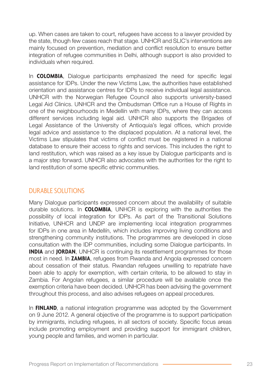up. When cases are taken to court, refugees have access to a lawyer provided by the state, though few cases reach that stage. UNHCR and SLIC's interventions are mainly focused on prevention, mediation and conflict resolution to ensure better integration of refugee communities in Delhi, although support is also provided to individuals when required.

In **COLOMBIA**, Dialogue participants emphasized the need for specific legal assistance for IDPs. Under the new Victims Law, the authorities have established orientation and assistance centres for IDPs to receive individual legal assistance. UNHCR with the Norwegian Refugee Council also supports university-based Legal Aid Clinics. UNHCR and the Ombudsman Office run a House of Rights in one of the neighbourhoods in Medellín with many IDPs, where they can access different services including legal aid. UNHCR also supports the Brigades of Legal Assistance of the University of Antioquia's legal offices, which provide legal advice and assistance to the displaced population. At a national level, the Victims Law stipulates that victims of conflict must be registered in a national database to ensure their access to rights and services. This includes the right to land restitution, which was raised as a key issue by Dialogue participants and is a major step forward. UNHCR also advocates with the authorities for the right to land restitution of some specific ethnic communities.

#### DURABLE SOLUTIONS

Many Dialogue participants expressed concern about the availability of suitable durable solutions. In **COLOMBIA**, UNHCR is exploring with the authorities the possibility of local integration for IDPs. As part of the Transitional Solutions Initiative, UNHCR and UNDP are implementing local integration programmes for IDPs in one area in Medellín, which includes improving living conditions and strengthening community institutions. The programmes are developed in close consultation with the IDP communities, including some Dialogue participants. In **INDIA** and **JORDAN**, UNHCR is continuing its resettlement programmes for those most in need. In **ZAMBIA**, refugees from Rwanda and Angola expressed concern about cessation of their status. Rwandan refugees unwilling to repatriate have been able to apply for exemption, with certain criteria, to be allowed to stay in Zambia. For Angolan refugees, a similar procedure will be available once the exemption criteria have been decided. UNHCR has been advising the government throughout this process, and also advises refugees on appeal procedures.

In **FINLAND**, a national integration programme was adopted by the Government on 9 June 2012. A general objective of the programme is to support participation by immigrants, including refugees, in all sectors of society. Specific focus areas include promoting employment and providing support for immigrant children, young people and families, and women in particular.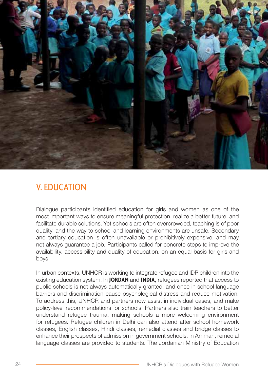

### V. EDUCATION

Dialogue participants identified education for girls and women as one of the most important ways to ensure meaningful protection, realize a better future, and facilitate durable solutions. Yet schools are often overcrowded, teaching is of poor quality, and the way to school and learning environments are unsafe. Secondary and tertiary education is often unavailable or prohibitively expensive, and may not always guarantee a job. Participants called for concrete steps to improve the availability, accessibility and quality of education, on an equal basis for girls and boys.

In urban contexts, UNHCR is working to integrate refugee and IDP children into the existing education system. In **JORDAN** and **INDIA**, refugees reported that access to public schools is not always automatically granted, and once in school language barriers and discrimination cause psychological distress and reduce motivation. To address this, UNHCR and partners now assist in individual cases, and make policy-level recommendations for schools. Partners also train teachers to better understand refugee trauma, making schools a more welcoming environment for refugees. Refugee children in Delhi can also attend after school homework classes, English classes, Hindi classes, remedial classes and bridge classes to enhance their prospects of admission in government schools. In Amman, remedial language classes are provided to students. The Jordanian Ministry of Education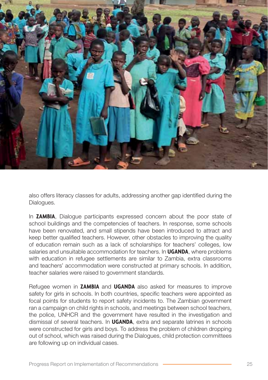

also offers literacy classes for adults, addressing another gap identified during the Dialogues.

In **ZAMBIA**, Dialogue participants expressed concern about the poor state of school buildings and the competencies of teachers. In response, some schools have been renovated, and small stipends have been introduced to attract and keep better qualified teachers. However, other obstacles to improving the quality of education remain such as a lack of scholarships for teachers' colleges, low salaries and unsuitable accommodation for teachers. In **UGANDA**, where problems with education in refugee settlements are similar to Zambia, extra classrooms and teachers' accommodation were constructed at primary schools. In addition, teacher salaries were raised to government standards.

Refugee women in **ZAMBIA** and **UGANDA** also asked for measures to improve safety for girls in schools. In both countries, specific teachers were appointed as focal points for students to report safety incidents to. The Zambian government ran a campaign on child rights in schools, and meetings between school teachers, the police, UNHCR and the government have resulted in the investigation and dismissal of several teachers. In **UGANDA**, extra and separate latrines in schools were constructed for girls and boys. To address the problem of children dropping out of school, which was raised during the Dialogues, child protection committees are following up on individual cases.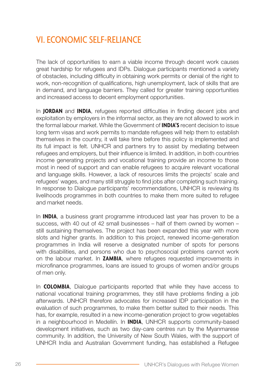## VI. ECONOMIC SELF-RELIANCE

The lack of opportunities to earn a viable income through decent work causes great hardship for refugees and IDPs. Dialogue participants mentioned a variety of obstacles, including difficulty in obtaining work permits or denial of the right to work, non-recognition of qualifications, high unemployment, lack of skills that are in demand, and language barriers. They called for greater training opportunities and increased access to decent employment opportunities.

In **JORDAN** and **INDIA**, refugees reported difficulties in finding decent jobs and exploitation by employers in the informal sector, as they are not allowed to work in the formal labour market. While the Government of **INDIA'S** recent decision to issue long term visas and work permits to mandate refugees will help them to establish themselves in the country, it will take time before this policy is implemented and its full impact is felt. UNHCR and partners try to assist by mediating between refugees and employers, but their influence is limited. In addition, in both countries income generating projects and vocational training provide an income to those most in need of support and can enable refugees to acquire relevant vocational and language skills. However, a lack of resources limits the projects' scale and refugees' wages, and many still struggle to find jobs after completing such training. In response to Dialogue participants' recommendations, UNHCR is reviewing its livelihoods programmes in both countries to make them more suited to refugee and market needs.

In **INDIA**, a business grant programme introduced last year has proven to be a success, with 40 out of 42 small businesses – half of them owned by women – still sustaining themselves. The project has been expanded this year with more slots and higher grants. In addition to this project, renewed income-generation programmes in India will reserve a designated number of spots for persons with disabilities, and persons who due to psychosocial problems cannot work on the labour market. In **ZAMBIA**, where refugees requested improvements in microfinance programmes, loans are issued to groups of women and/or groups of men only.

In **COLOMBIA**, Dialogue participants reported that while they have access to national vocational training programmes, they still have problems finding a job afterwards. UNHCR therefore advocates for increased IDP participation in the evaluation of such programmes, to make them better suited to their needs. This has, for example, resulted in a new income-generation project to grow vegetables in a neighbourhood in Medellín. In **INDIA**, UNHCR supports community-based development initiatives, such as two day-care centres run by the Myanmarese community. In addition, the University of New South Wales, with the support of UNHCR India and Australian Government funding, has established a Refugee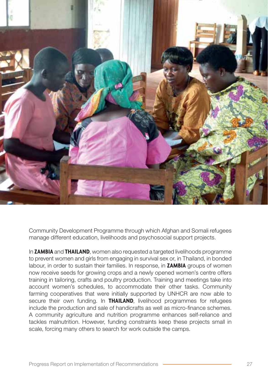

Community Development Programme through which Afghan and Somali refugees manage different education, livelihoods and psychosocial support projects.

In **ZAMBIA** and **THAILAND**, women also requested a targeted livelihoods programme to prevent women and girls from engaging in survival sex or, in Thailand, in bonded labour, in order to sustain their families. In response, in **ZAMBIA** groups of women now receive seeds for growing crops and a newly opened women's centre offers training in tailoring, crafts and poultry production. Training and meetings take into account women's schedules, to accommodate their other tasks. Community farming cooperatives that were initially supported by UNHCR are now able to secure their own funding. In **THAILAND**, livelihood programmes for refugees include the production and sale of handicrafts as well as micro-finance schemes. A community agriculture and nutrition programme enhances self-reliance and tackles malnutrition. However, funding constraints keep these projects small in scale, forcing many others to search for work outside the camps.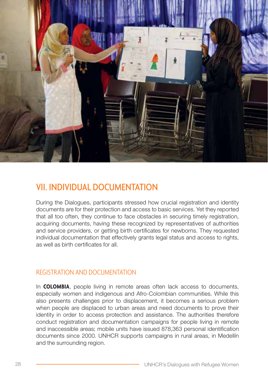

### VII. INDIVIDUAL DOCUMENTATION

During the Dialogues, participants stressed how crucial registration and identity documents are for their protection and access to basic services. Yet they reported that all too often, they continue to face obstacles in securing timely registration, acquiring documents, having these recognized by representatives of authorities and service providers, or getting birth certificates for newborns. They requested individual documentation that effectively grants legal status and access to rights, as well as birth certificates for all.

#### REGISTRATION AND DOCUMENTATION

In **COLOMBIA**, people living in remote areas often lack access to documents, especially women and indigenous and Afro-Colombian communities. While this also presents challenges prior to displacement, it becomes a serious problem when people are displaced to urban areas and need documents to prove their identity in order to access protection and assistance. The authorities therefore conduct registration and documentation campaigns for people living in remote and inaccessible areas; mobile units have issued 878,363 personal identification documents since 2000. UNHCR supports campaigns in rural areas, in Medellín and the surrounding region.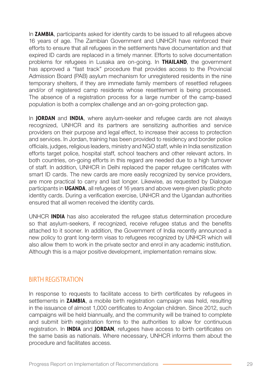In **ZAMBIA**, participants asked for identity cards to be issued to all refugees above 16 years of age. The Zambian Government and UNHCR have reinforced their efforts to ensure that all refugees in the settlements have documentation and that expired ID cards are replaced in a timely manner. Efforts to solve documentation problems for refugees in Lusaka are on-going. In **THAILAND**, the government has approved a "fast track" procedure that provides access to the Provincial Admission Board (PAB) asylum mechanism for unregistered residents in the nine temporary shelters, if they are immediate family members of resettled refugees and/or of registered camp residents whose resettlement is being processed. The absence of a registration process for a large number of the camp-based population is both a complex challenge and an on-going protection gap.

In **JORDAN** and **INDIA**, where asylum-seeker and refugee cards are not always recognized, UNHCR and its partners are sensitizing authorities and service providers on their purpose and legal effect, to increase their access to protection and services. In Jordan, training has been provided to residency and border police officials, judges, religious leaders, ministry and NGO staff, while in India sensitization efforts target police, hospital staff, school teachers and other relevant actors. In both countries, on-going efforts in this regard are needed due to a high turnover of staff. In addition, UNHCR in Delhi replaced the paper refugee certificates with smart ID cards. The new cards are more easily recognized by service providers, are more practical to carry and last longer. Likewise, as requested by Dialogue participants in **UGANDA**, all refugees of 16 years and above were given plastic photo identity cards. During a verification exercise, UNHCR and the Ugandan authorities ensured that all women received the identity cards.

UNHCR **INDIA** has also accelerated the refugee status determination procedure so that asylum-seekers, if recognized, receive refugee status and the benefits attached to it sooner. In addition, the Government of India recently announced a new policy to grant long-term visas to refugees recognized by UNHCR which will also allow them to work in the private sector and enrol in any academic institution. Although this is a major positive development, implementation remains slow.

#### BIRTH REGISTRATION

In response to requests to facilitate access to birth certificates by refugees in settlements in **ZAMBIA**, a mobile birth registration campaign was held, resulting in the issuance of almost 1,000 certificates to Angolan children. Since 2012, such campaigns will be held biannually, and the community will be trained to complete and submit birth registration forms to the authorities to allow for continuous registration. In **INDIA** and **JORDAN**, refugees have access to birth certificates on the same basis as nationals. Where necessary, UNHCR informs them about the procedure and facilitates access.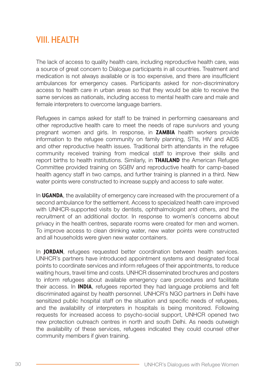## **VIII. HEALTH**

The lack of access to quality health care, including reproductive health care, was a source of great concern to Dialogue participants in all countries. Treatment and medication is not always available or is too expensive, and there are insufficient ambulances for emergency cases. Participants asked for non-discriminatory access to health care in urban areas so that they would be able to receive the same services as nationals, including access to mental health care and male and female interpreters to overcome language barriers.

Refugees in camps asked for staff to be trained in performing caesareans and other reproductive health care to meet the needs of rape survivors and young pregnant women and girls. In response, in **ZAMBIA** health workers provide information to the refugee community on family planning, STIs, HIV and AIDS and other reproductive health issues. Traditional birth attendants in the refugee community received training from medical staff to improve their skills and report births to health institutions. Similarly, in **THAILAND** the American Refugee Committee provided training on SGBV and reproductive health for camp-based health agency staff in two camps, and further training is planned in a third. New water points were constructed to increase supply and access to safe water.

In **UGANDA**, the availability of emergency care increased with the procurement of a second ambulance for the settlement. Access to specialized health care improved with UNHCR-supported visits by dentists, ophthalmologist and others, and the recruitment of an additional doctor. In response to women's concerns about privacy in the health centres, separate rooms were created for men and women. To improve access to clean drinking water, new water points were constructed and all households were given new water containers.

In **JORDAN**, refugees requested better coordination between health services. UNHCR's partners have introduced appointment systems and designated focal points to coordinate services and inform refugees of their appointments, to reduce waiting hours, travel time and costs. UNHCR disseminated brochures and posters to inform refugees about available emergency care procedures and facilitate their access. In **INDIA**, refugees reported they had language problems and felt discriminated against by health personnel. UNHCR's NGO partners in Delhi have sensitized public hospital staff on the situation and specific needs of refugees, and the availability of interpreters in hospitals is being monitored. Following requests for increased access to psycho-social support, UNHCR opened two new protection outreach centres in north and south Delhi. As needs outweigh the availability of these services, refugees indicated they could counsel other community members if given training.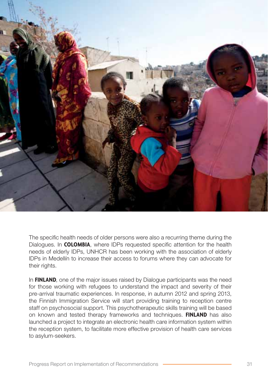

The specific health needs of older persons were also a recurring theme during the Dialogues. In **COLOMBIA**, where IDPs requested specific attention for the health needs of elderly IDPs, UNHCR has been working with the association of elderly IDPs in Medellín to increase their access to forums where they can advocate for their rights.

In **FINLAND**, one of the major issues raised by Dialogue participants was the need for those working with refugees to understand the impact and severity of their pre-arrival traumatic experiences. In response, in autumn 2012 and spring 2013, the Finnish Immigration Service will start providing training to reception centre staff on psychosocial support. This psychotherapeutic skills training will be based on known and tested therapy frameworks and techniques. **FINLAND** has also launched a project to integrate an electronic health care information system within the reception system, to facilitate more effective provision of health care services to asylum-seekers.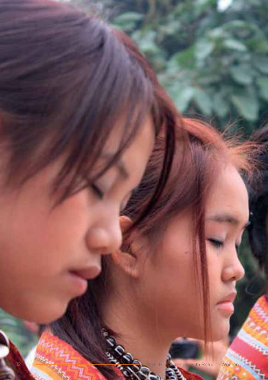32 UNHCR's Dialogues with Refugee Women

 $-24$ 

**R** 

 $\mathbf{x}_{\mathbf{x}}$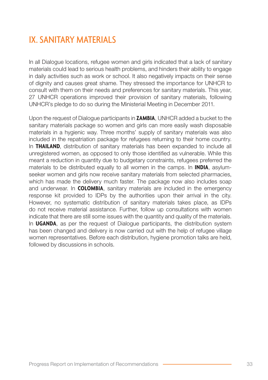## IX. SANITARY MATERIALS

In all Dialogue locations, refugee women and girls indicated that a lack of sanitary materials could lead to serious health problems, and hinders their ability to engage in daily activities such as work or school. It also negatively impacts on their sense of dignity and causes great shame. They stressed the importance for UNHCR to consult with them on their needs and preferences for sanitary materials. This year, 27 UNHCR operations improved their provision of sanitary materials, following UNHCR's pledge to do so during the Ministerial Meeting in December 2011.

Upon the request of Dialogue participants in **ZAMBIA**, UNHCR added a bucket to the sanitary materials package so women and girls can more easily wash disposable materials in a hygienic way. Three months' supply of sanitary materials was also included in the repatriation package for refugees returning to their home country. In **THAILAND**, distribution of sanitary materials has been expanded to include all unregistered women, as opposed to only those identified as vulnerable. While this meant a reduction in quantity due to budgetary constraints, refugees preferred the materials to be distributed equally to all women in the camps. In **INDIA**, asylumseeker women and girls now receive sanitary materials from selected pharmacies, which has made the delivery much faster. The package now also includes soap and underwear. In **COLOMBIA**, sanitary materials are included in the emergency response kit provided to IDPs by the authorities upon their arrival in the city. However, no systematic distribution of sanitary materials takes place, as IDPs do not receive material assistance. Further, follow up consultations with women indicate that there are still some issues with the quantity and quality of the materials. In **UGANDA**, as per the request of Dialogue participants, the distribution system has been changed and delivery is now carried out with the help of refugee village women representatives. Before each distribution, hygiene promotion talks are held, followed by discussions in schools.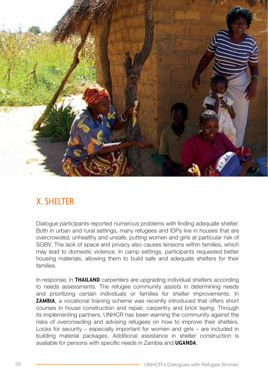

## X. SHELTER

Dialogue participants reported numerous problems with finding adequate shelter. Both in urban and rural settings, many refugees and IDPs live in houses that are overcrowded, unhealthy and unsafe, putting women and girls at particular risk of SGBV. The lack of space and privacy also causes tensions within families, which may lead to domestic violence. In camp settings, participants requested better housing materials, allowing them to build safe and adequate shelters for their families.

In response, in **THAILAND** carpenters are upgrading individual shelters according to needs assessments. The refugee community assists in determining needs and prioritizing certain individuals or families for shelter improvements. In **ZAMBIA**, a vocational training scheme was recently introduced that offers short courses in house construction and repair, carpentry and brick laying. Through its implementing partners, UNHCR has been warning the community against the risks of overcrowding and advising refugees on how to improve their shelters. Locks for security – especially important for women and girls – are included in building material packages. Additional assistance in shelter construction is available for persons with specific needs in Zambia and **UGANDA**.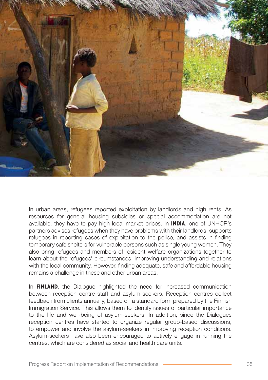

In urban areas, refugees reported exploitation by landlords and high rents. As resources for general housing subsidies or special accommodation are not available, they have to pay high local market prices. In **INDIA**, one of UNHCR's partners advises refugees when they have problems with their landlords, supports refugees in reporting cases of exploitation to the police, and assists in finding temporary safe shelters for vulnerable persons such as single young women. They also bring refugees and members of resident welfare organizations together to learn about the refugees' circumstances, improving understanding and relations with the local community. However, finding adequate, safe and affordable housing remains a challenge in these and other urban areas.

In **FINLAND**, the Dialogue highlighted the need for increased communication between reception centre staff and asylum-seekers. Reception centres collect feedback from clients annually, based on a standard form prepared by the Finnish Immigration Service. This allows them to identify issues of particular importance to the life and well-being of asylum-seekers. In addition, since the Dialogues reception centres have started to organize regular group-based discussions, to empower and involve the asylum-seekers in improving reception conditions. Asylum-seekers have also been encouraged to actively engage in running the centres, which are considered as social and health care units.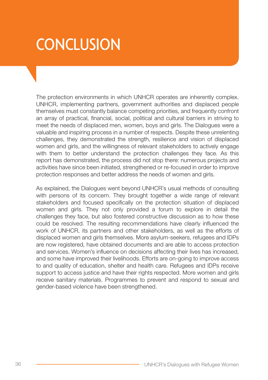## **CONCLUSION**

The protection environments in which UNHCR operates are inherently complex. UNHCR, implementing partners, government authorities and displaced people themselves must constantly balance competing priorities, and frequently confront an array of practical, financial, social, political and cultural barriers in striving to meet the needs of displaced men, women, boys and girls. The Dialogues were a valuable and inspiring process in a number of respects. Despite these unrelenting challenges, they demonstrated the strength, resilience and vision of displaced women and girls, and the willingness of relevant stakeholders to actively engage with them to better understand the protection challenges they face. As this report has demonstrated, the process did not stop there: numerous projects and activities have since been initiated, strengthened or re-focused in order to improve protection responses and better address the needs of women and girls.

As explained, the Dialogues went beyond UNHCR's usual methods of consulting with persons of its concern. They brought together a wide range of relevant stakeholders and focused specifically on the protection situation of displaced women and girls. They not only provided a forum to explore in detail the challenges they face, but also fostered constructive discussion as to how these could be resolved. The resulting recommendations have clearly influenced the work of UNHCR, its partners and other stakeholders, as well as the efforts of displaced women and girls themselves. More asylum-seekers, refugees and IDPs are now registered, have obtained documents and are able to access protection and services. Women's influence on decisions affecting their lives has increased, and some have improved their livelihoods. Efforts are on-going to improve access to and quality of education, shelter and health care. Refugees and IDPs receive support to access justice and have their rights respected. More women and girls receive sanitary materials. Programmes to prevent and respond to sexual and gender-based violence have been strengthened.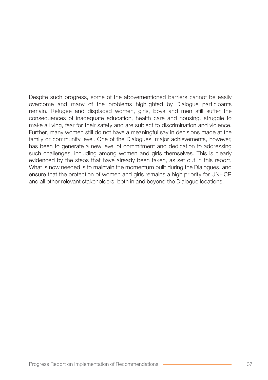Despite such progress, some of the abovementioned barriers cannot be easily overcome and many of the problems highlighted by Dialogue participants remain. Refugee and displaced women, girls, boys and men still suffer the consequences of inadequate education, health care and housing, struggle to make a living, fear for their safety and are subject to discrimination and violence. Further, many women still do not have a meaningful say in decisions made at the family or community level. One of the Dialogues' major achievements, however, has been to generate a new level of commitment and dedication to addressing such challenges, including among women and girls themselves. This is clearly evidenced by the steps that have already been taken, as set out in this report. What is now needed is to maintain the momentum built during the Dialogues, and ensure that the protection of women and girls remains a high priority for UNHCR and all other relevant stakeholders, both in and beyond the Dialogue locations.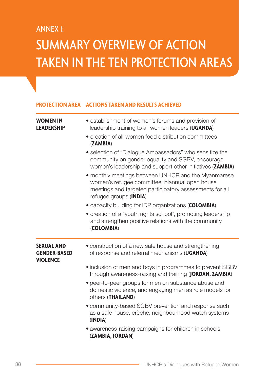## ANNEX I: SUMMARY OVERVIEW OF ACTION TAKEN IN THE TEN PROTECTION AREAS

#### **PROTECTION AREA ACTIONS TAKEN AND RESULTS ACHIEVED**

| <b>WOMEN IN</b><br><b>LEADERSHIP</b>                        | • establishment of women's forums and provision of<br>leadership training to all women leaders (UGANDA)<br>• creation of all-women food distribution committees<br>(ZAMBIA)                |  |  |
|-------------------------------------------------------------|--------------------------------------------------------------------------------------------------------------------------------------------------------------------------------------------|--|--|
|                                                             | • selection of "Dialogue Ambassadors" who sensitize the<br>community on gender equality and SGBV, encourage<br>women's leadership and support other initiatives ( <b>ZAMBIA</b> )          |  |  |
|                                                             | • monthly meetings between UNHCR and the Myanmarese<br>women's refugee committee; biannual open house<br>meetings and targeted participatory assessments for all<br>refugee groups (INDIA) |  |  |
|                                                             | • capacity building for IDP organizations (COLOMBIA)                                                                                                                                       |  |  |
|                                                             | • creation of a "youth rights school", promoting leadership<br>and strengthen positive relations with the community<br>(COLOMBIA)                                                          |  |  |
| <b>SEXUAL AND</b><br><b>GENDER-BASED</b><br><b>VIOLENCE</b> | • construction of a new safe house and strengthening<br>of response and referral mechanisms (UGANDA)                                                                                       |  |  |
|                                                             | • inclusion of men and boys in programmes to prevent SGBV<br>through awareness-raising and training (JORDAN, ZAMBIA)                                                                       |  |  |
|                                                             | • peer-to-peer groups for men on substance abuse and<br>domestic violence, and engaging men as role models for<br>others (THAILAND)                                                        |  |  |
|                                                             | • community-based SGBV prevention and response such<br>as a safe house, crèche, neighbourhood watch systems<br>(INDIA)                                                                     |  |  |
|                                                             | • awareness-raising campaigns for children in schools<br>(ZAMBIA, JORDAN)                                                                                                                  |  |  |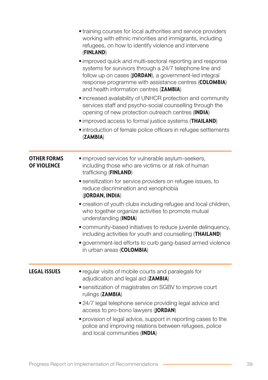|                                          | • training courses for local authorities and service providers<br>working with ethnic minorities and immigrants, including<br>refugees, on how to identify violence and intervene<br>(FINLAND)                                                                                      |
|------------------------------------------|-------------------------------------------------------------------------------------------------------------------------------------------------------------------------------------------------------------------------------------------------------------------------------------|
|                                          | · improved quick and multi-sectoral reporting and response<br>systems for survivors through a 24/7 telephone line and<br>follow up on cases (JORDAN), a government-led integral<br>response programme with assistance centres (COLOMBIA)<br>and health information centres (ZAMBIA) |
|                                          | • increased availability of UNHCR protection and community<br>services staff and psycho-social counselling through the<br>opening of new protection outreach centres (INDIA)                                                                                                        |
|                                          | · improved access to formal justice systems (THAILAND)                                                                                                                                                                                                                              |
|                                          | · introduction of female police officers in refugee settlements<br>(ZAMBIA)                                                                                                                                                                                                         |
| <b>OTHER FORMS</b><br><b>OF VIOLENCE</b> | • improved services for vulnerable asylum-seekers,<br>including those who are victims or at risk of human<br>trafficking (FINLAND)                                                                                                                                                  |
|                                          | · sensitization for service providers on refugee issues, to<br>reduce discrimination and xenophobia<br>(JORDAN, INDIA)                                                                                                                                                              |
|                                          | • creation of youth clubs including refugee and local children,<br>who together organize activities to promote mutual<br>understanding (INDIA)                                                                                                                                      |
|                                          | • community-based initiatives to reduce juvenile delinquency,<br>including activities for youth and counselling (THAILAND)                                                                                                                                                          |
|                                          | · government-led efforts to curb gang-based armed violence<br>in urban areas (COLOMBIA)                                                                                                                                                                                             |
| <b>LEGAL ISSUES</b>                      | • regular visits of mobile courts and paralegals for<br>adjudication and legal aid (ZAMBIA)                                                                                                                                                                                         |
|                                          | • sensitization of magistrates on SGBV to improve court<br>rulings (ZAMBIA)                                                                                                                                                                                                         |
|                                          | • 24/7 legal telephone service providing legal advice and<br>access to pro-bono lawyers (JORDAN)                                                                                                                                                                                    |
|                                          | · provision of legal advice, support in reporting cases to the<br>police and improving relations between refugees, police<br>and local communities (INDIA)                                                                                                                          |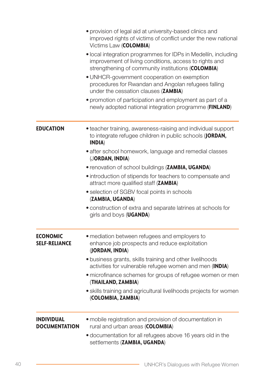|                                           | · provision of legal aid at university-based clinics and<br>improved rights of victims of conflict under the new national<br>Victims Law (COLOMBIA)                            |
|-------------------------------------------|--------------------------------------------------------------------------------------------------------------------------------------------------------------------------------|
|                                           | · local integration programmes for IDPs in Medellín, including<br>improvement of living conditions, access to rights and<br>strengthening of community institutions (COLOMBIA) |
|                                           | · UNHCR-government cooperation on exemption<br>procedures for Rwandan and Angolan refugees falling<br>under the cessation clauses (ZAMBIA)                                     |
|                                           | • promotion of participation and employment as part of a<br>newly adopted national integration programme (FINLAND)                                                             |
| <b>EDUCATION</b>                          | • teacher training, awareness-raising and individual support<br>to integrate refugee children in public schools (JORDAN,<br><b>INDIA</b> )                                     |
|                                           | • after school homework, language and remedial classes<br>(JORDAN, INDIA)                                                                                                      |
|                                           | • renovation of school buildings (ZAMBIA, UGANDA)                                                                                                                              |
|                                           | • introduction of stipends for teachers to compensate and<br>attract more qualified staff ( <b>ZAMBIA</b> )                                                                    |
|                                           | · selection of SGBV focal points in schools<br>(ZAMBIA, UGANDA)                                                                                                                |
|                                           | · construction of extra and separate latrines at schools for<br>girls and boys (UGANDA)                                                                                        |
| <b>ECONOMIC</b><br><b>SELF-RELIANCE</b>   | • mediation between refugees and employers to<br>enhance job prospects and reduce exploitation<br>(JORDAN, INDIA)                                                              |
|                                           | · business grants, skills training and other livelihoods<br>activities for vulnerable refugee women and men (INDIA)                                                            |
|                                           | · microfinance schemes for groups of refugee women or men<br>(THAILAND, ZAMBIA)                                                                                                |
|                                           | · skills training and agricultural livelihoods projects for women<br>(COLOMBIA, ZAMBIA)                                                                                        |
| <b>INDIVIDUAL</b><br><b>DOCUMENTATION</b> | · mobile registration and provision of documentation in<br>rural and urban areas (COLOMBIA)                                                                                    |
|                                           | · documentation for all refugees above 16 years old in the<br>settlements (ZAMBIA, UGANDA)                                                                                     |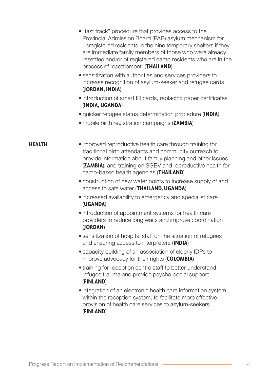- "fast track" procedure that provides access to the Provincial Admission Board (PAB) asylum mechanism for unregistered residents in the nine temporary shelters if they are immediate family members of those who were already resettled and/or of registered camp residents who are in the process of resettlement. (**THAILAND**)
- sensitization with authorities and services providers to increase recognition of asylum-seeker and refugee cards (**JORDAN, INDIA**)
- introduction of smart ID cards, replacing paper certificates (**INDIA, UGANDA**)
- quicker refugee status determination procedure (**INDIA**)
- mobile birth registration campaigns (**ZAMBIA**)

- **HEALTH** improved reproductive health care through training for traditional birth attendants and community outreach to provide information about family planning and other issues (**ZAMBIA**), and training on SGBV and reproductive health for camp-based health agencies (**THAILAND**)
	- construction of new water points to increase supply of and access to safe water (**THAILAND, UGANDA**)
	- increased availability to emergency and specialist care (**UGANDA**)
	- introduction of appointment systems for health care providers to reduce long waits and improve coordination (**JORDAN**)
	- sensitization of hospital staff on the situation of refugees and ensuring access to interpreters (**INDIA**)
	- capacity building of an association of elderly IDPs to improve advocacy for their rights (**COLOMBIA**)
	- training for reception centre staff to better understand refugee trauma and provide psycho-social support (**FINLAND**)
	- integration of an electronic health care information system within the reception system, to facilitate more effective provision of health care services to asylum-seekers (**FINLAND**)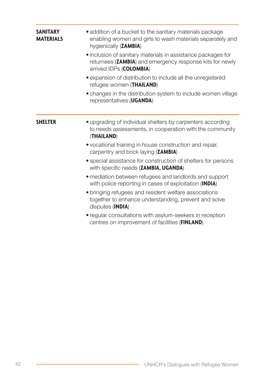| <b>SANITARY</b><br><b>MATERIALS</b> | • addition of a bucket to the sanitary materials package<br>enabling women and girls to wash materials separately and<br>hygienically (ZAMBIA)               |  |
|-------------------------------------|--------------------------------------------------------------------------------------------------------------------------------------------------------------|--|
|                                     | • inclusion of sanitary materials in assistance packages for<br>returnees ( <b>ZAMBIA</b> ) and emergency response kits for newly<br>arrived IDPs (COLOMBIA) |  |
|                                     | • expansion of distribution to include all the unregistered<br>refugee women (THAILAND)                                                                      |  |
|                                     | • changes in the distribution system to include women village<br>representatives (UGANDA)                                                                    |  |
| <b>SHELTER</b>                      | • upgrading of individual shelters by carpenters according<br>to needs assessments, in cooperation with the community<br>(THAILAND)                          |  |
|                                     | • vocational training in house construction and repair,<br>carpentry and brick laying ( <b>ZAMBIA</b> )                                                      |  |
|                                     | • special assistance for construction of shelters for persons<br>with specific needs (ZAMBIA, UGANDA)                                                        |  |
|                                     | · mediation between refugees and landlords and support<br>with police reporting in cases of exploitation (INDIA)                                             |  |
|                                     | • bringing refugees and resident welfare associations<br>together to enhance understanding, prevent and solve<br>disputes (INDIA)                            |  |
|                                     | • regular consultations with asylum-seekers in reception<br>centres on improvement of facilities (FINLAND)                                                   |  |